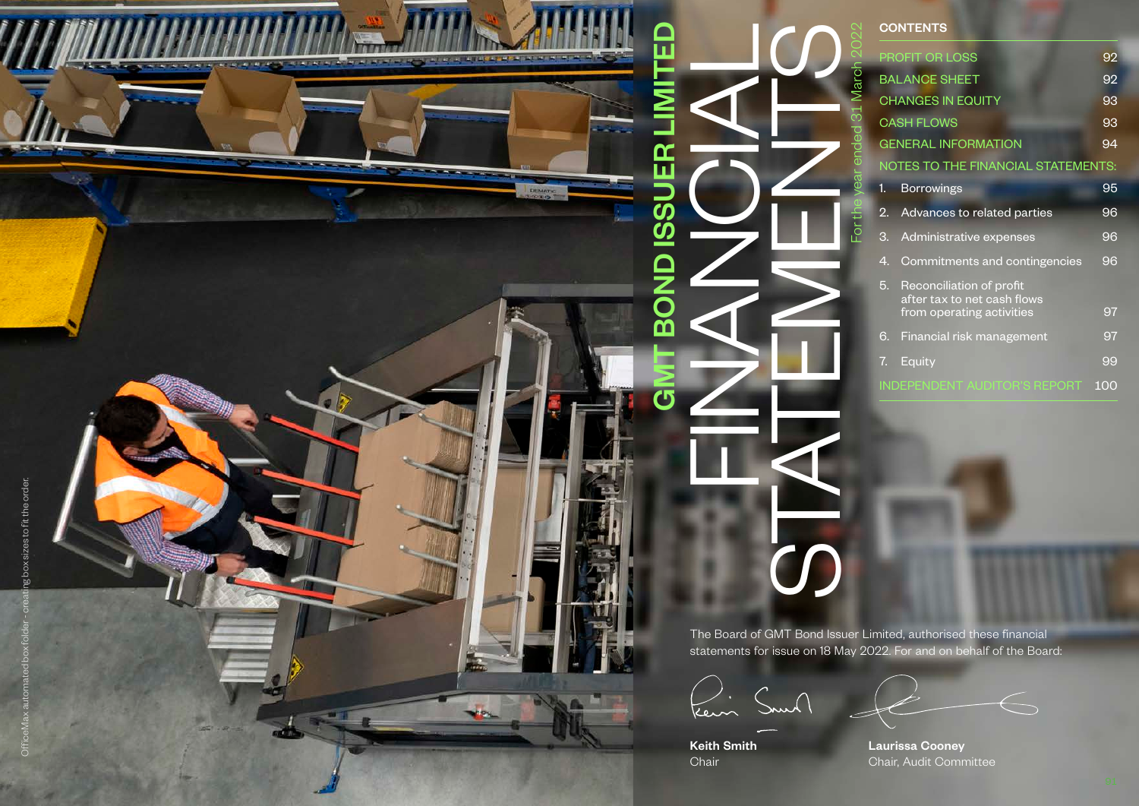## **CONTENTS** [PROFIT OR LOSS](#page-1-0) 82 [BALANCE SHEET](#page-1-0) 92 [CHANGES IN EQUITY](#page-2-0) 693 [CASH FLOWS](#page-2-0) 93 [GENERAL INFORMATION](#page-3-0) 94 NOTES TO THE FINANCIAL STATEMENTS: 1. [Borrowings](#page-4-0) 95 2. [Advances to related parties](#page-5-0) 96 3. [Administrative expenses](#page-5-0) 96 [4. Commitments and contingencies](#page-5-0) 96 [5. Reconciliation of profit](#page-6-0)  [after tax to net cash flows](#page-6-0)  [from operating activities](#page-6-0) **97** [6. Financial risk management](#page-6-0) 97 7. [Equity](#page-8-0) 99 [INDEPENDENT AUDITOR'S REPORT](#page-9-0) 100

The Board of GMT Bond Issuer Limited, authorised these financial statements for issue on 18 May 2022. For and on behalf of the Board:

Fein Sun

FINANCIAL

GMT BOND ISSUER LIMITED

**OND** 

 $\overline{C}$ 

 $\overline{\boldsymbol{a}}$ <u>d</u>

*<u>EXISTENCIAL PROPERTY AND RESIDENCE</u>* 

**THE REPORT OF STATISTICS** 

STATEMENTS

 $\mathcal O$ 

For the year ended 31 March 2022

 $For 1$ 

 $\sqrt{2}$ 

Keith Smith Laurissa Cooney Chair Chair, Audit Committee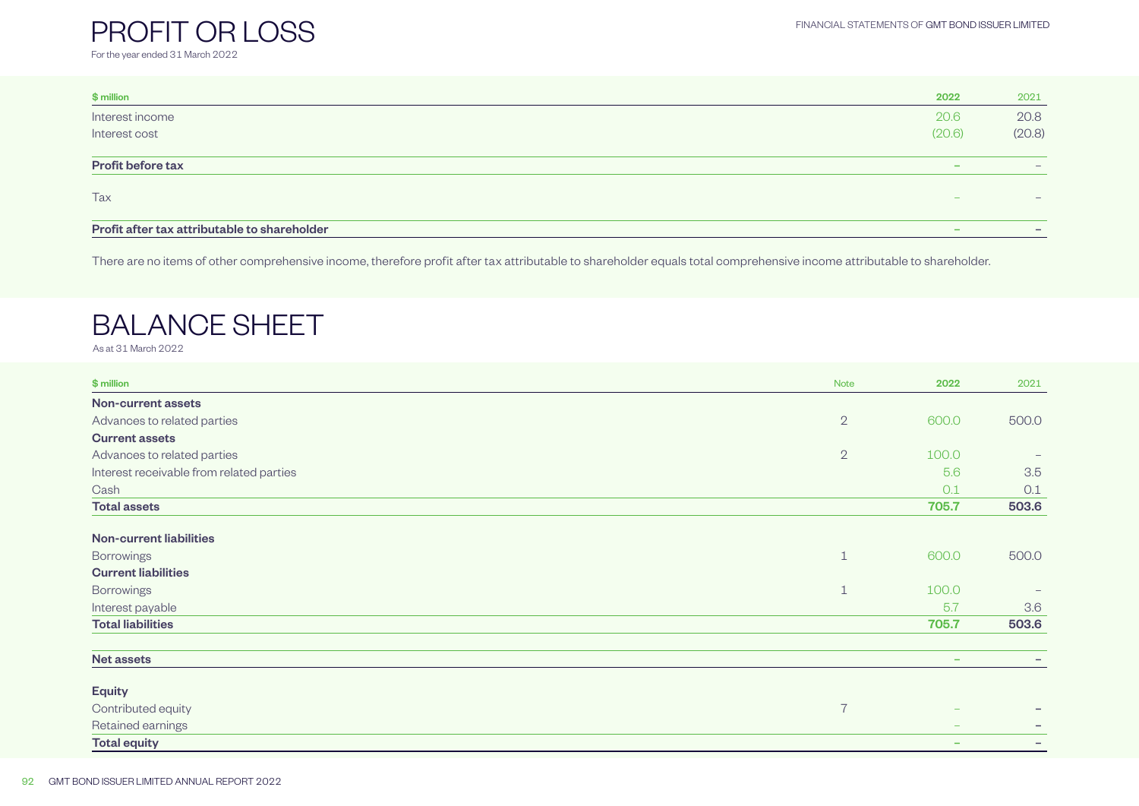# <span id="page-1-0"></span>PROFIT OR LOSS

| $$$ million                                  | 2022   | 2021                     |
|----------------------------------------------|--------|--------------------------|
| Interest income                              | 20.6   | 20.8                     |
| Interest cost                                | (20.6) | (20.8)                   |
| Profit before tax                            | -      | $\overline{\phantom{0}}$ |
| Tax                                          |        |                          |
| Profit after tax attributable to shareholder | -      | -                        |

There are no items of other comprehensive income, therefore profit after tax attributable to shareholder equals total comprehensive income attributable to shareholder.

## BALANCE SHEET

As at 31 March 2022

| \$ million                               | <b>Note</b>    | 2022                     | 2021                     |
|------------------------------------------|----------------|--------------------------|--------------------------|
| <b>Non-current assets</b>                |                |                          |                          |
| Advances to related parties              | $\overline{2}$ | 600.0                    | 500.0                    |
| <b>Current assets</b>                    |                |                          |                          |
| Advances to related parties              | $\overline{2}$ | 100.0                    |                          |
| Interest receivable from related parties |                | 5.6                      | 3.5                      |
| Cash                                     |                | 0.1                      | 0.1                      |
| <b>Total assets</b>                      |                | 705.7                    | 503.6                    |
| <b>Non-current liabilities</b>           |                |                          |                          |
| <b>Borrowings</b>                        | $\mathbf{1}$   | 600.0                    | 500.0                    |
| <b>Current liabilities</b>               |                |                          |                          |
| <b>Borrowings</b>                        | $\mathbf{1}$   | 100.0                    |                          |
| Interest payable                         |                | 5.7                      | 3.6                      |
| <b>Total liabilities</b>                 |                | 705.7                    | 503.6                    |
| <b>Net assets</b>                        |                | $\overline{\phantom{a}}$ |                          |
| <b>Equity</b>                            |                |                          |                          |
| Contributed equity                       | $\overline{7}$ |                          |                          |
| Retained earnings                        |                | $\overline{\phantom{a}}$ |                          |
| <b>Total equity</b>                      |                | $\overline{\phantom{0}}$ | $\overline{\phantom{0}}$ |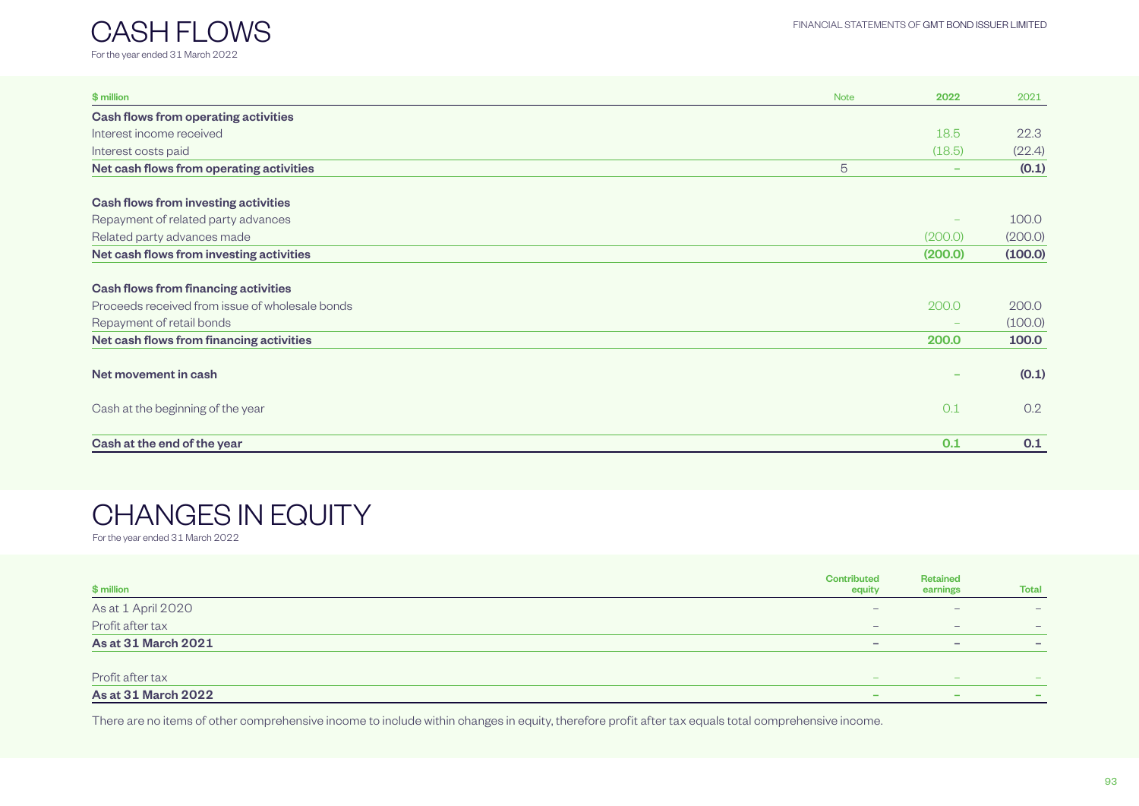<span id="page-2-0"></span>

| \$ million                                      | <b>Note</b> | 2022                     | 2021    |
|-------------------------------------------------|-------------|--------------------------|---------|
| <b>Cash flows from operating activities</b>     |             |                          |         |
| Interest income received                        |             | 18.5                     | 22.3    |
| Interest costs paid                             |             | (18.5)                   | (22.4)  |
| Net cash flows from operating activities        | 5           | $\overline{\phantom{0}}$ | (0.1)   |
| Cash flows from investing activities            |             |                          |         |
| Repayment of related party advances             |             | -                        | 100.0   |
| Related party advances made                     |             | (200.0)                  | (200.0) |
| Net cash flows from investing activities        |             | (200.0)                  | (100.0) |
| <b>Cash flows from financing activities</b>     |             |                          |         |
| Proceeds received from issue of wholesale bonds |             | 200.0                    | 200.0   |
| Repayment of retail bonds                       |             | ۰                        | (100.0) |
| Net cash flows from financing activities        |             | 200.0                    | 100.0   |
| Net movement in cash                            |             |                          | (0.1)   |
| Cash at the beginning of the year               |             | 0.1                      | 0.2     |
| Cash at the end of the year                     |             | 0.1                      | 0.1     |

## CHANGES IN EQUITY

For the year ended 31 March 2022

| $$$ million         | <b>Contributed</b><br>equity | Retained<br>earnings     | <b>Total</b>             |
|---------------------|------------------------------|--------------------------|--------------------------|
| As at 1 April 2020  | $\overline{\phantom{0}}$     | $\overline{\phantom{0}}$ | $\overline{\phantom{a}}$ |
| Profit after tax    | $\overline{\phantom{0}}$     | $\overline{\phantom{0}}$ | $\overline{\phantom{a}}$ |
| As at 31 March 2021 | -                            | $\overline{\phantom{0}}$ | $\overline{\phantom{0}}$ |
| Profit after tax    | $-$                          | $\overline{\phantom{a}}$ | $\sim$                   |
| As at 31 March 2022 |                              | -                        | $\overline{\phantom{a}}$ |

There are no items of other comprehensive income to include within changes in equity, therefore profit after tax equals total comprehensive income.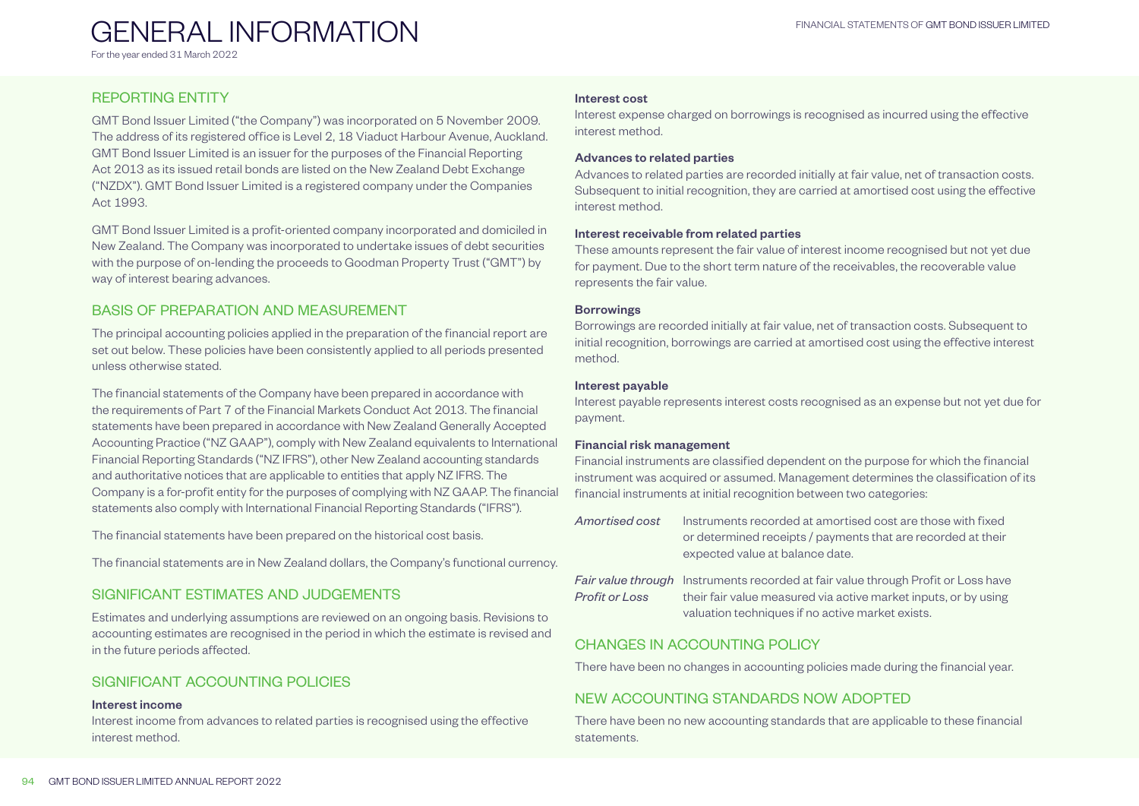## <span id="page-3-0"></span>GENERAL INFORMATION

For the year ended 31 March 2022

## REPORTING ENTITY

GMT Bond Issuer Limited ("the Company") was incorporated on 5 November 2009. The address of its registered office is Level 2, 18 Viaduct Harbour Avenue, Auckland. GMT Bond Issuer Limited is an issuer for the purposes of the Financial Reporting Act 2013 as its issued retail bonds are listed on the New Zealand Debt Exchange ("NZDX"). GMT Bond Issuer Limited is a registered company under the Companies Act 1993.

GMT Bond Issuer Limited is a profit-oriented company incorporated and domiciled in New Zealand. The Company was incorporated to undertake issues of debt securities with the purpose of on-lending the proceeds to Goodman Property Trust ("GMT") by way of interest bearing advances.

## BASIS OF PREPARATION AND MEASUREMENT

The principal accounting policies applied in the preparation of the financial report are set out below. These policies have been consistently applied to all periods presented unless otherwise stated.

The financial statements of the Company have been prepared in accordance with the requirements of Part 7 of the Financial Markets Conduct Act 2013. The financial statements have been prepared in accordance with New Zealand Generally Accepted Accounting Practice ("NZ GAAP"), comply with New Zealand equivalents to International Financial Reporting Standards ("NZ IFRS"), other New Zealand accounting standards and authoritative notices that are applicable to entities that apply NZ IFRS. The Company is a for-profit entity for the purposes of complying with NZ GAAP. The financial statements also comply with International Financial Reporting Standards ("IFRS").

The financial statements have been prepared on the historical cost basis.

The financial statements are in New Zealand dollars, the Company's functional currency.

## SIGNIFICANT ESTIMATES AND JUDGEMENTS

Estimates and underlying assumptions are reviewed on an ongoing basis. Revisions to accounting estimates are recognised in the period in which the estimate is revised and in the future periods affected.

## SIGNIFICANT ACCOUNTING POLICIES

#### Interest income

Interest income from advances to related parties is recognised using the effective interest method.

#### Interest cost

Interest expense charged on borrowings is recognised as incurred using the effective interest method.

#### Advances to related parties

Advances to related parties are recorded initially at fair value, net of transaction costs. Subsequent to initial recognition, they are carried at amortised cost using the effective interest method.

#### Interest receivable from related parties

These amounts represent the fair value of interest income recognised but not yet due for payment. Due to the short term nature of the receivables, the recoverable value represents the fair value.

#### **Borrowings**

Borrowings are recorded initially at fair value, net of transaction costs. Subsequent to initial recognition, borrowings are carried at amortised cost using the effective interest method.

#### Interest payable

Interest payable represents interest costs recognised as an expense but not yet due for payment.

#### Financial risk management

Financial instruments are classified dependent on the purpose for which the financial instrument was acquired or assumed. Management determines the classification of its financial instruments at initial recognition between two categories:

*Amortised cost* Instruments recorded at amortised cost are those with fixed or determined receipts / payments that are recorded at their expected value at balance date.

*Fair value through* Instruments recorded at fair value through Profit or Loss have *Profit or Loss* their fair value measured via active market inputs, or by using valuation techniques if no active market exists.

## CHANGES IN ACCOUNTING POLICY

There have been no changes in accounting policies made during the financial year.

## NEW ACCOUNTING STANDARDS NOW ADOPTED

There have been no new accounting standards that are applicable to these financial statements.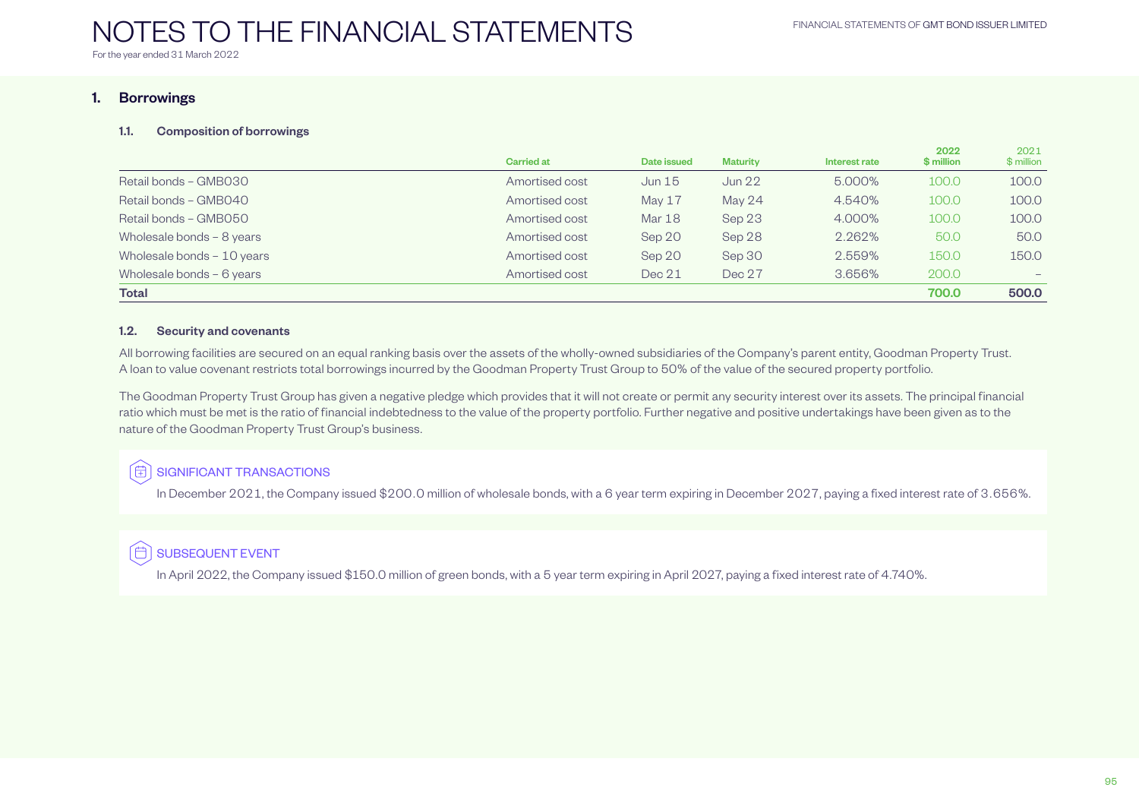# <span id="page-4-0"></span>NOTES TO THE FINANCIAL STATEMENTS

For the year ended 31 March 2022

## 1. Borrowings

#### 1.1. Composition of borrowings

|                             | <b>Carried at</b> | Date issued | <b>Maturity</b> | Interest rate | 2022<br>\$ million | 2021<br>\$ million |
|-----------------------------|-------------------|-------------|-----------------|---------------|--------------------|--------------------|
| Retail bonds - GMB030       | Amortised cost    | Jun $15$    | <b>Jun 22</b>   | 5.000%        | 100.0              | 100.0              |
| Retail bonds - GMB040       | Amortised cost    | May $17$    | May 24          | 4.540%        | 100.0              | 100.0              |
| Retail bonds - GMB050       | Amortised cost    | Mar 18      | Sep 23          | 4.000%        | 100.0              | 100.0              |
| Wholesale bonds - 8 years   | Amortised cost    | Sep 20      | Sep 28          | 2.262%        | 50.0               | 50.0               |
| Wholesale bonds $-10$ years | Amortised cost    | Sep 20      | Sep 30          | 2.559%        | 150.0              | 150.0              |
| Wholesale bonds - 6 years   | Amortised cost    | Dec 21      | Dec 27          | 3.656%        | 200.0              |                    |
| <b>Total</b>                |                   |             |                 |               | 700.0              | 500.0              |

#### 1.2. Security and covenants

All borrowing facilities are secured on an equal ranking basis over the assets of the wholly-owned subsidiaries of the Company's parent entity, Goodman Property Trust. A loan to value covenant restricts total borrowings incurred by the Goodman Property Trust Group to 50% of the value of the secured property portfolio.

The Goodman Property Trust Group has given a negative pledge which provides that it will not create or permit any security interest over its assets. The principal financial ratio which must be met is the ratio of financial indebtedness to the value of the property portfolio. Further negative and positive undertakings have been given as to the nature of the Goodman Property Trust Group's business.

#### 個 SIGNIFICANT TRANSACTIONS

In December 2021, the Company issued \$200.0 million of wholesale bonds, with a 6 year term expiring in December 2027, paying a fixed interest rate of 3.656%.

#### 伯 SUBSEQUENT EVENT

In April 2022, the Company issued \$150.0 million of green bonds, with a 5 year term expiring in April 2027, paying a fixed interest rate of 4.740%.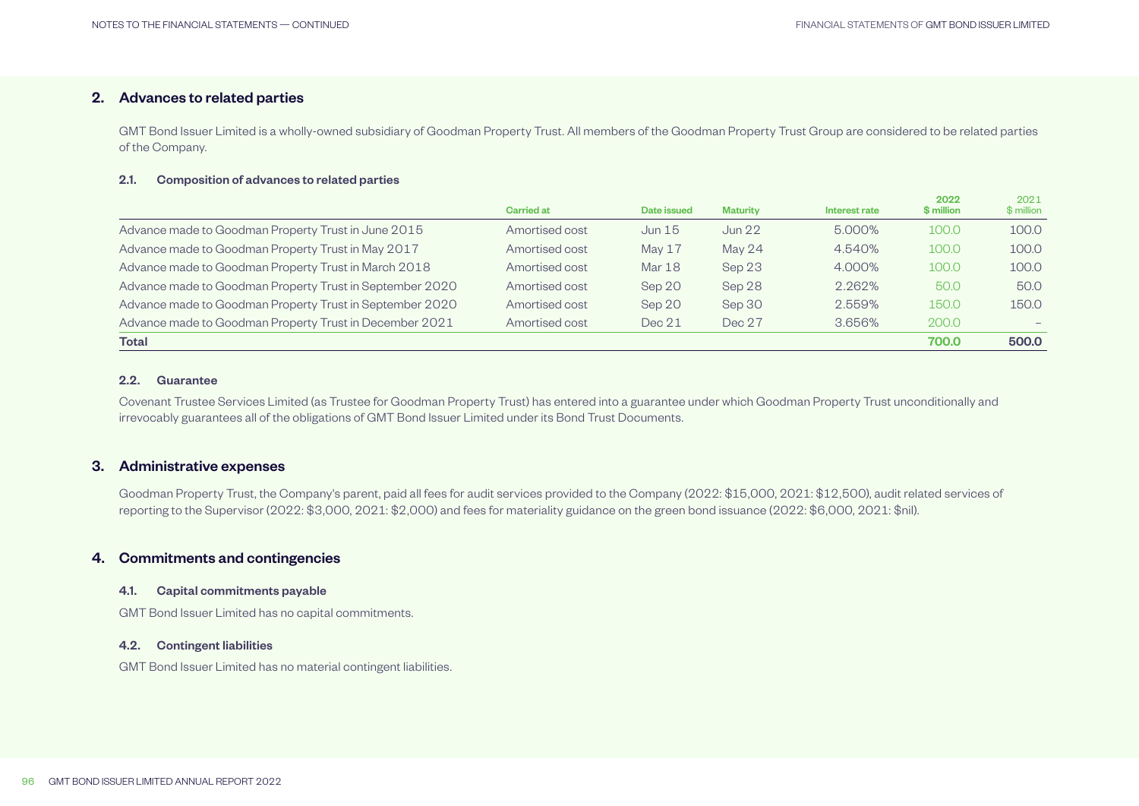## <span id="page-5-0"></span>2. Advances to related parties

GMT Bond Issuer Limited is a wholly-owned subsidiary of Goodman Property Trust. All members of the Goodman Property Trust Group are considered to be related parties of the Company.

#### 2.1. Composition of advances to related parties

|                                                          | <b>Carried at</b> | Date issued | <b>Maturity</b> | Interest rate | 2022<br>\$ million | 2021<br>\$ million |
|----------------------------------------------------------|-------------------|-------------|-----------------|---------------|--------------------|--------------------|
| Advance made to Goodman Property Trust in June 2015      | Amortised cost    | Jun $15$    | <b>Jun 22</b>   | 5.000%        | 100.0              | 100.0              |
| Advance made to Goodman Property Trust in May 2017       | Amortised cost    | May $17$    | May 24          | 4.540%        | 100.0              | 100.0              |
| Advance made to Goodman Property Trust in March 2018     | Amortised cost    | Mar 18      | Sep 23          | 4.000%        | 100.0              | 100.0              |
| Advance made to Goodman Property Trust in September 2020 | Amortised cost    | Sep 20      | Sep 28          | 2.262%        | 50.0               | 50.0               |
| Advance made to Goodman Property Trust in September 2020 | Amortised cost    | Sep 20      | Sep 30          | 2.559%        | 150.0              | 150.0              |
| Advance made to Goodman Property Trust in December 2021  | Amortised cost    | Dec 21      | Dec 27          | 3.656%        | 200.0              |                    |
| <b>Total</b>                                             |                   |             |                 |               | 700.0              | 500.0              |

#### 2.2. Guarantee

Covenant Trustee Services Limited (as Trustee for Goodman Property Trust) has entered into a guarantee under which Goodman Property Trust unconditionally and irrevocably guarantees all of the obligations of GMT Bond Issuer Limited under its Bond Trust Documents.

## 3. Administrative expenses

Goodman Property Trust, the Company's parent, paid all fees for audit services provided to the Company (2022: \$15,000, 2021: \$12,500), audit related services of reporting to the Supervisor (2022: \$3,000, 2021: \$2,000) and fees for materiality guidance on the green bond issuance (2022: \$6,000, 2021: \$nil).

## 4. Commitments and contingencies

#### 4.1. Capital commitments payable

GMT Bond Issuer Limited has no capital commitments.

#### 4.2. Contingent liabilities

GMT Bond Issuer Limited has no material contingent liabilities.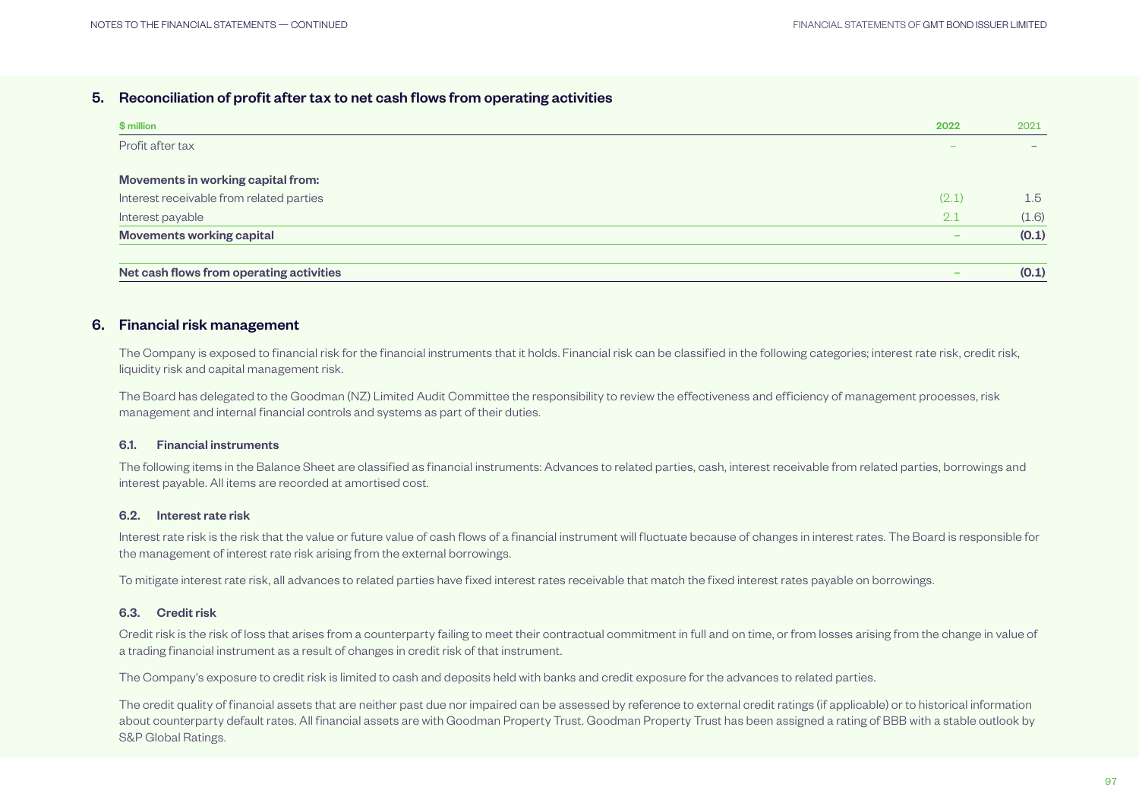## <span id="page-6-0"></span>5. Reconciliation of profit after tax to net cash flows from operating activities

| \$ million                               | 2022                     | 2021                     |
|------------------------------------------|--------------------------|--------------------------|
| Profit after tax                         | $\overline{\phantom{a}}$ | $\overline{\phantom{a}}$ |
| Movements in working capital from:       |                          |                          |
| Interest receivable from related parties | (2.1)                    | 1.5                      |
| Interest payable                         | 2.1                      | (1.6)                    |
| <b>Movements working capital</b>         | -                        | (0.1)                    |
|                                          |                          |                          |
| Net cash flows from operating activities | -                        | (0.1)                    |

### 6. Financial risk management

The Company is exposed to financial risk for the financial instruments that it holds. Financial risk can be classified in the following categories; interest rate risk, credit risk, liquidity risk and capital management risk.

The Board has delegated to the Goodman (NZ) Limited Audit Committee the responsibility to review the effectiveness and efficiency of management processes, risk management and internal financial controls and systems as part of their duties.

#### 6.1. Financial instruments

The following items in the Balance Sheet are classified as financial instruments: Advances to related parties, cash, interest receivable from related parties, borrowings and interest payable. All items are recorded at amortised cost.

#### 6.2. Interest rate risk

Interest rate risk is the risk that the value or future value of cash flows of a financial instrument will fluctuate because of changes in interest rates. The Board is responsible for the management of interest rate risk arising from the external borrowings.

To mitigate interest rate risk, all advances to related parties have fixed interest rates receivable that match the fixed interest rates payable on borrowings.

#### 6.3. Credit risk

Credit risk is the risk of loss that arises from a counterparty failing to meet their contractual commitment in full and on time, or from losses arising from the change in value of a trading financial instrument as a result of changes in credit risk of that instrument.

The Company's exposure to credit risk is limited to cash and deposits held with banks and credit exposure for the advances to related parties.

The credit quality of financial assets that are neither past due nor impaired can be assessed by reference to external credit ratings (if applicable) or to historical information about counterparty default rates. All financial assets are with Goodman Property Trust. Goodman Property Trust has been assigned a rating of BBB with a stable outlook by S&P Global Ratings.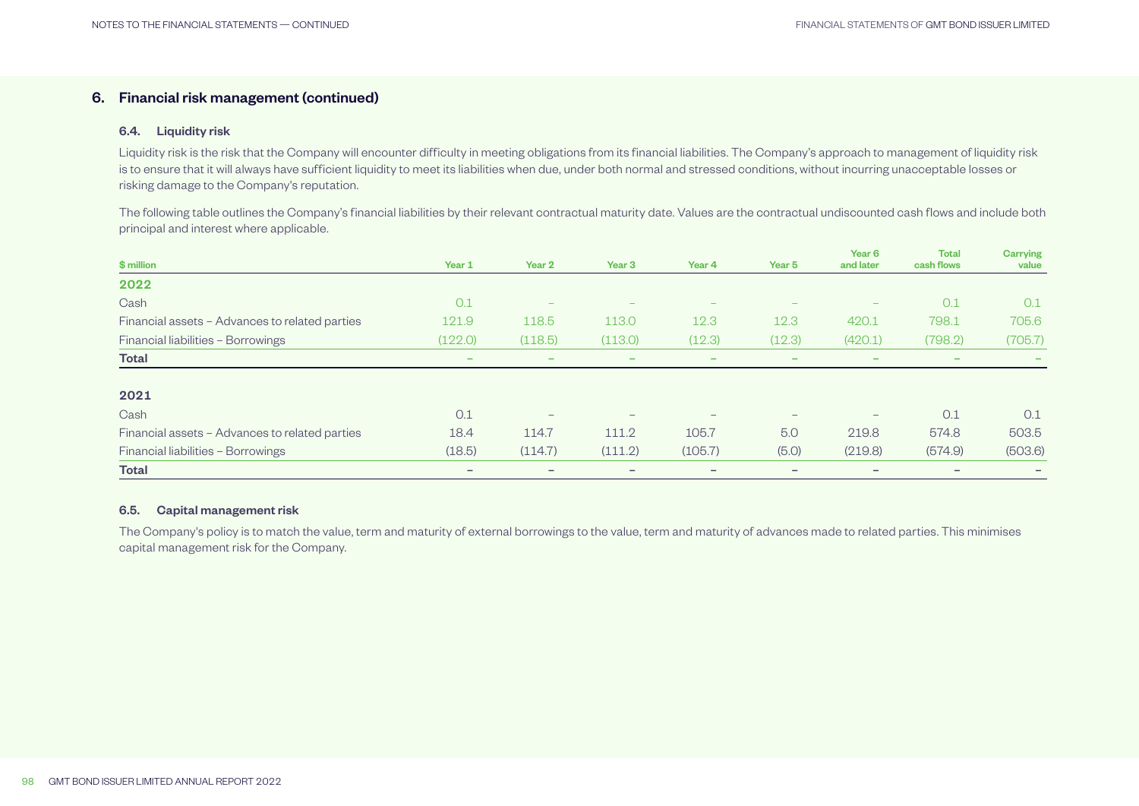## 6. Financial risk management (continued)

#### 6.4. Liquidity risk

Liquidity risk is the risk that the Company will encounter difficulty in meeting obligations from its financial liabilities. The Company's approach to management of liquidity risk is to ensure that it will always have sufficient liquidity to meet its liabilities when due, under both normal and stressed conditions, without incurring unacceptable losses or risking damage to the Company's reputation.

The following table outlines the Company's financial liabilities by their relevant contractual maturity date. Values are the contractual undiscounted cash flows and include both principal and interest where applicable.

| \$ million                                     | Year 1                   | Year 2                   | Year <sub>3</sub>        | Year 4  | Year 5                   | Year <sub>6</sub><br>and later | <b>Total</b><br>cash flows | Carrying<br>value |
|------------------------------------------------|--------------------------|--------------------------|--------------------------|---------|--------------------------|--------------------------------|----------------------------|-------------------|
| 2022                                           |                          |                          |                          |         |                          |                                |                            |                   |
| Cash                                           | 0.1                      |                          |                          |         |                          |                                | 0.1                        | 0.1               |
| Financial assets - Advances to related parties | 121.9                    | 118.5                    | 113.0                    | 12.3    | 12.3                     | 420.1                          | 798.1                      | 705.6             |
| Financial liabilities - Borrowings             | (122.0)                  | (118.5)                  | (113.0)                  | (12.3)  | (12.3)                   | (420.1)                        | (798.2)                    | (705.7)           |
| <b>Total</b>                                   | $\overline{\phantom{a}}$ |                          |                          |         | -                        |                                | $\overline{\phantom{a}}$   |                   |
| 2021                                           |                          |                          |                          |         |                          |                                |                            |                   |
| Cash                                           | 0.1                      | $\overline{\phantom{a}}$ | $\overline{\phantom{a}}$ |         | $\overline{\phantom{m}}$ |                                | 0.1                        | 0.1               |
| Financial assets - Advances to related parties | 18.4                     | 114.7                    | 111.2                    | 105.7   | 5.0                      | 219.8                          | 574.8                      | 503.5             |
| Financial liabilities - Borrowings             | (18.5)                   | (114.7)                  | (111.2)                  | (105.7) | (5.0)                    | (219.8)                        | (574.9)                    | (503.6)           |
| <b>Total</b>                                   | $\qquad \qquad -$        |                          |                          |         | -                        |                                | $\overline{\phantom{0}}$   |                   |

#### 6.5. Capital management risk

The Company's policy is to match the value, term and maturity of external borrowings to the value, term and maturity of advances made to related parties. This minimises capital management risk for the Company.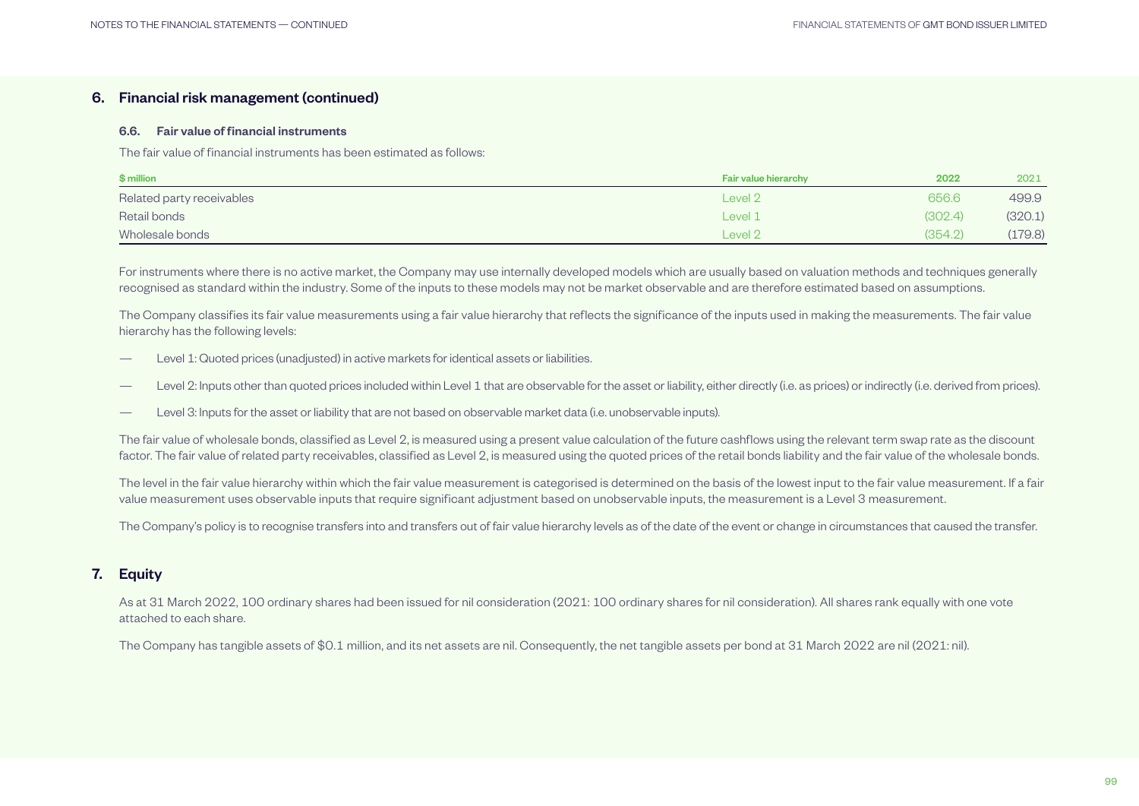## <span id="page-8-0"></span>6. Financial risk management (continued)

#### 6.6. Fair value of financial instruments

The fair value of financial instruments has been estimated as follows:

| \$ million                | Fair value hierarchy | 2022    | 2021    |
|---------------------------|----------------------|---------|---------|
| Related party receivables | Level 2              | 656.6   | 499.9   |
| Retail bonds              | Level 1              | (302.4) | (320.1) |
| Wholesale bonds           | Level 2              | (354.2) | (179.8) |

For instruments where there is no active market, the Company may use internally developed models which are usually based on valuation methods and techniques generally recognised as standard within the industry. Some of the inputs to these models may not be market observable and are therefore estimated based on assumptions.

The Company classifies its fair value measurements using a fair value hierarchy that reflects the significance of the inputs used in making the measurements. The fair value hierarchy has the following levels:

- Level 1: Quoted prices (unadjusted) in active markets for identical assets or liabilities.
- Level 2: Inputs other than quoted prices included within Level 1 that are observable for the asset or liability, either directly (i.e. as prices) or indirectly (i.e. derived from prices).
- Level 3: Inputs for the asset or liability that are not based on observable market data (i.e. unobservable inputs).

The fair value of wholesale bonds, classified as Level 2, is measured using a present value calculation of the future cashflows using the relevant term swap rate as the discount factor. The fair value of related party receivables, classified as Level 2, is measured using the quoted prices of the retail bonds liability and the fair value of the wholesale bonds.

The level in the fair value hierarchy within which the fair value measurement is categorised is determined on the basis of the lowest input to the fair value measurement. If a fair value measurement uses observable inputs that require significant adjustment based on unobservable inputs, the measurement is a Level 3 measurement.

The Company's policy is to recognise transfers into and transfers out of fair value hierarchy levels as of the date of the event or change in circumstances that caused the transfer.

### 7. Equity

As at 31 March 2022, 100 ordinary shares had been issued for nil consideration (2021: 100 ordinary shares for nil consideration). All shares rank equally with one vote attached to each share.

The Company has tangible assets of \$0.1 million, and its net assets are nil. Consequently, the net tangible assets per bond at 31 March 2022 are nil (2021: nil).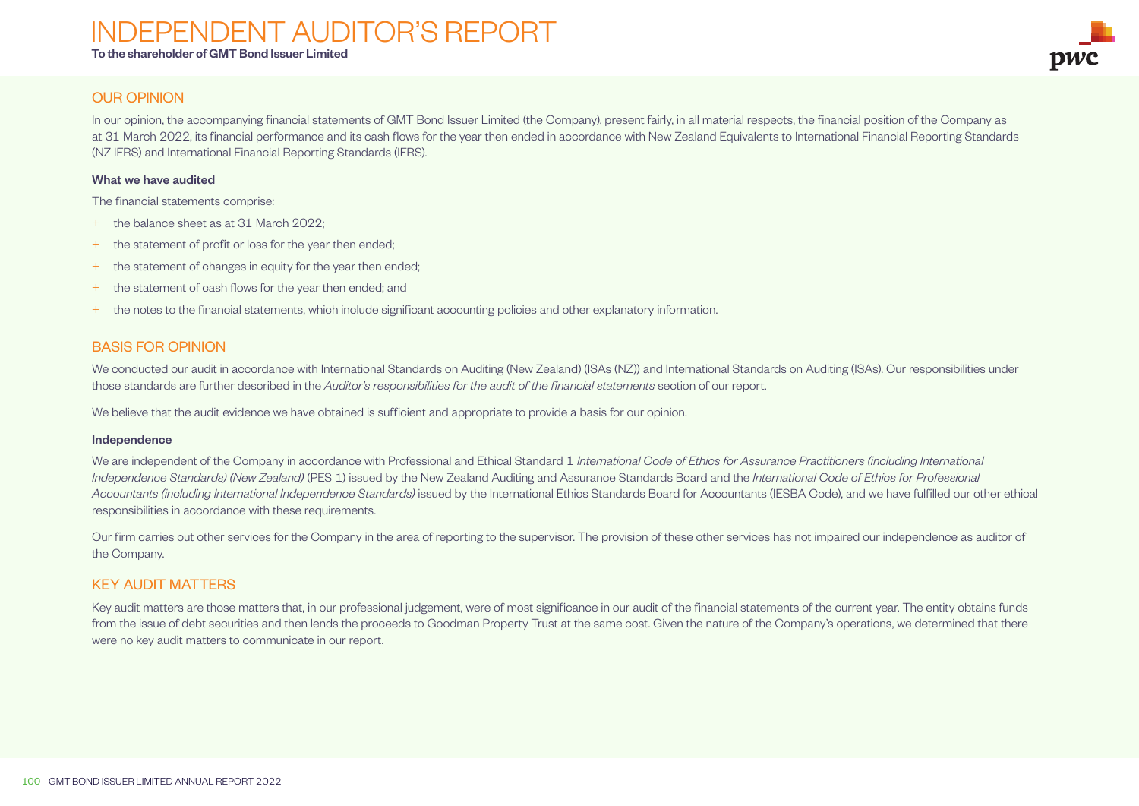## <span id="page-9-0"></span>INDEPENDENT AUDITOR'S REPORT

To the shareholder of GMT Bond Issuer Limited

## OUR OPINION

In our opinion, the accompanying financial statements of GMT Bond Issuer Limited (the Company), present fairly, in all material respects, the financial position of the Company as at 31 March 2022, its financial performance and its cash flows for the year then ended in accordance with New Zealand Equivalents to International Financial Reporting Standards (NZ IFRS) and International Financial Reporting Standards (IFRS).

#### What we have audited

The financial statements comprise:

- the balance sheet as at 31 March  $2022$ ;
- + the statement of profit or loss for the year then ended;
- + the statement of changes in equity for the year then ended;
- + the statement of cash flows for the year then ended; and
- + the notes to the financial statements, which include significant accounting policies and other explanatory information.

## BASIS FOR OPINION

We conducted our audit in accordance with International Standards on Auditing (New Zealand) (ISAs (NZ)) and International Standards on Auditing (ISAs). Our responsibilities under those standards are further described in the *Auditor's responsibilities for the audit of the financial statements* section of our report.

We believe that the audit evidence we have obtained is sufficient and appropriate to provide a basis for our opinion.

#### Independence

We are independent of the Company in accordance with Professional and Ethical Standard 1 *International Code of Ethics for Assurance Practitioners (including International Independence Standards) (New Zealand)* (PES 1) issued by the New Zealand Auditing and Assurance Standards Board and the *International Code of Ethics for Professional Accountants (including International Independence Standards)* issued by the International Ethics Standards Board for Accountants (IESBA Code), and we have fulfilled our other ethical responsibilities in accordance with these requirements.

Our firm carries out other services for the Company in the area of reporting to the supervisor. The provision of these other services has not impaired our independence as auditor of the Company.

## KEY AUDIT MATTERS

Key audit matters are those matters that, in our professional judgement, were of most significance in our audit of the financial statements of the current year. The entity obtains funds from the issue of debt securities and then lends the proceeds to Goodman Property Trust at the same cost. Given the nature of the Company's operations, we determined that there were no key audit matters to communicate in our report.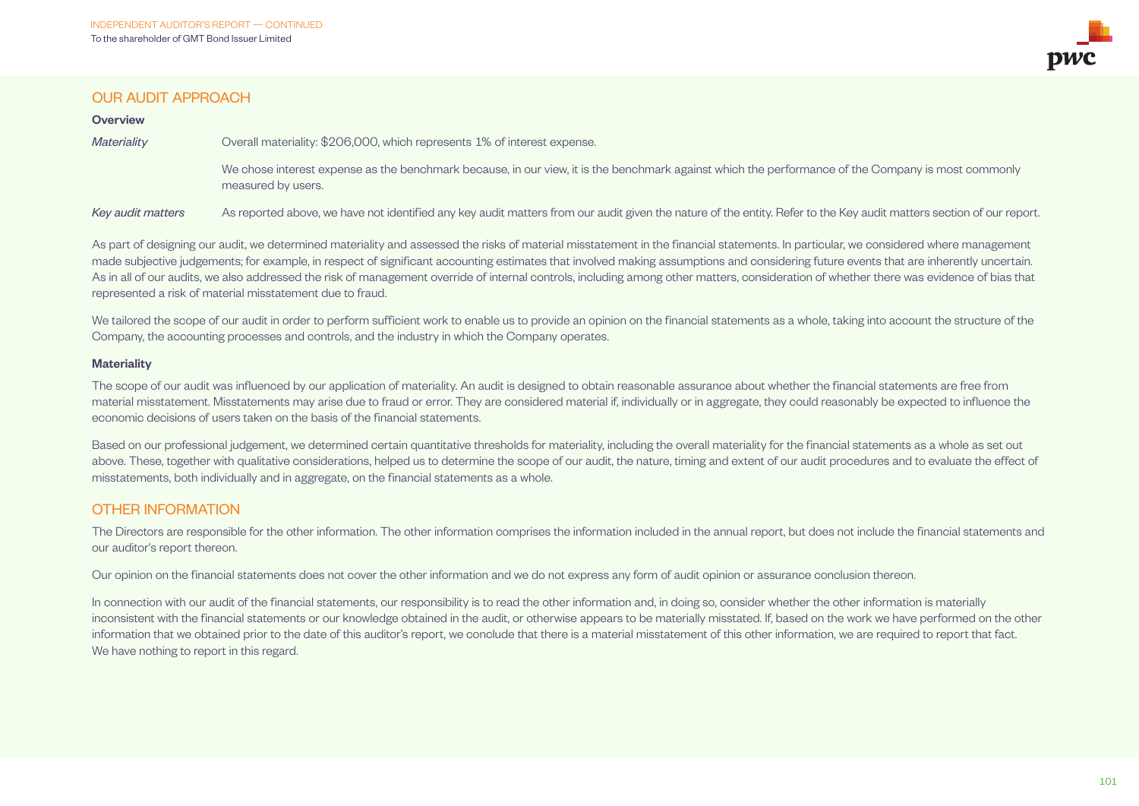

## OUR AUDIT APPROACH

#### **Overview**

*Materiality* Overall materiality: \$206,000, which represents 1% of interest expense.

We chose interest expense as the benchmark because, in our view, it is the benchmark against which the performance of the Company is most commonly measured by users.

*Key audit matters* As reported above, we have not identified any key audit matters from our audit given the nature of the entity. Refer to the Key audit matters section of our report.

As part of designing our audit, we determined materiality and assessed the risks of material misstatement in the financial statements. In particular, we considered where management made subjective judgements; for example, in respect of significant accounting estimates that involved making assumptions and considering future events that are inherently uncertain. As in all of our audits, we also addressed the risk of management override of internal controls, including among other matters, consideration of whether there was evidence of bias that represented a risk of material misstatement due to fraud.

We tailored the scope of our audit in order to perform sufficient work to enable us to provide an opinion on the financial statements as a whole, taking into account the structure of the Company, the accounting processes and controls, and the industry in which the Company operates.

#### **Materiality**

The scope of our audit was influenced by our application of materiality. An audit is designed to obtain reasonable assurance about whether the financial statements are free from material misstatement. Misstatements may arise due to fraud or error. They are considered material if, individually or in aggregate, they could reasonably be expected to influence the economic decisions of users taken on the basis of the financial statements.

Based on our professional judgement, we determined certain quantitative thresholds for materiality, including the overall materiality for the financial statements as a whole as set out above. These, together with qualitative considerations, helped us to determine the scope of our audit, the nature, timing and extent of our audit procedures and to evaluate the effect of misstatements, both individually and in aggregate, on the financial statements as a whole.

## OTHER INFORMATION

The Directors are responsible for the other information. The other information comprises the information included in the annual report, but does not include the financial statements and our auditor's report thereon.

Our opinion on the financial statements does not cover the other information and we do not express any form of audit opinion or assurance conclusion thereon.

In connection with our audit of the financial statements, our responsibility is to read the other information and, in doing so, consider whether the other information is materially inconsistent with the financial statements or our knowledge obtained in the audit, or otherwise appears to be materially misstated. If, based on the work we have performed on the other information that we obtained prior to the date of this auditor's report, we conclude that there is a material misstatement of this other information, we are required to report that fact. We have nothing to report in this regard.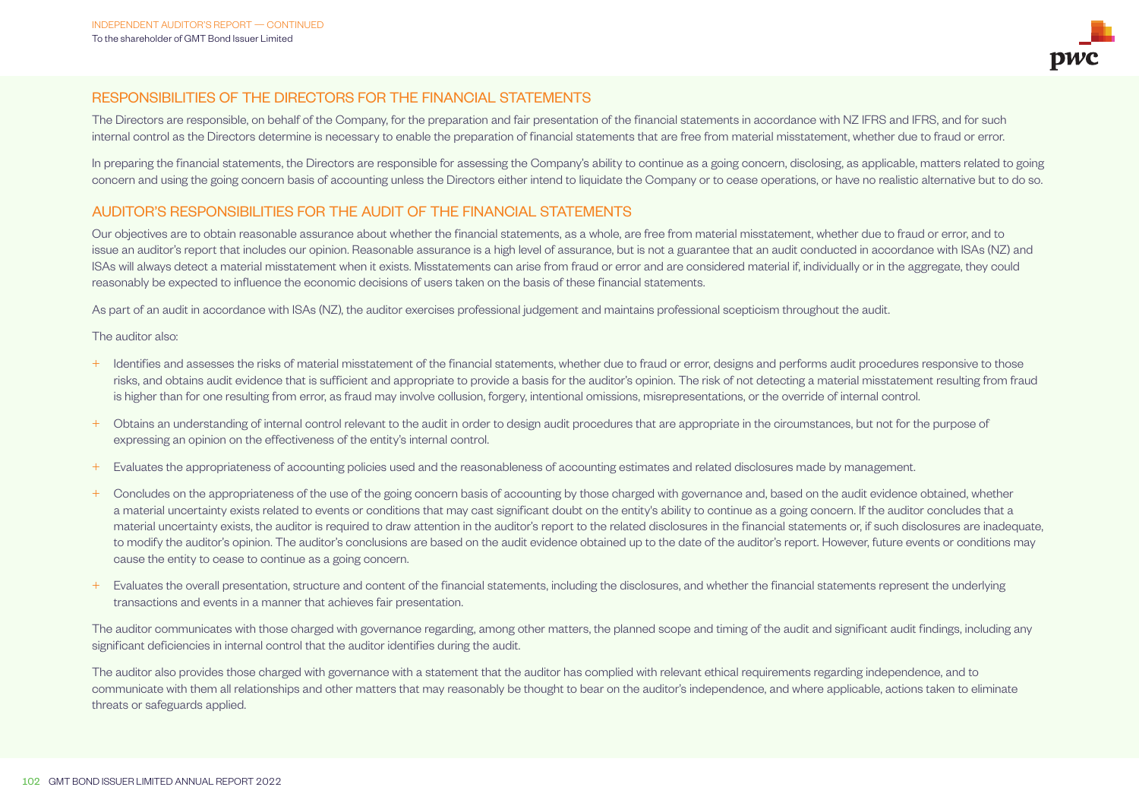

## RESPONSIBILITIES OF THE DIRECTORS FOR THE FINANCIAL STATEMENTS

The Directors are responsible, on behalf of the Company, for the preparation and fair presentation of the financial statements in accordance with NZ IFRS and IFRS, and for such internal control as the Directors determine is necessary to enable the preparation of financial statements that are free from material misstatement, whether due to fraud or error.

In preparing the financial statements, the Directors are responsible for assessing the Company's ability to continue as a going concern, disclosing, as applicable, matters related to going concern and using the going concern basis of accounting unless the Directors either intend to liquidate the Company or to cease operations, or have no realistic alternative but to do so.

## AUDITOR'S RESPONSIBILITIES FOR THE AUDIT OF THE FINANCIAL STATEMENTS

Our objectives are to obtain reasonable assurance about whether the financial statements, as a whole, are free from material misstatement, whether due to fraud or error, and to issue an auditor's report that includes our opinion. Reasonable assurance is a high level of assurance, but is not a guarantee that an audit conducted in accordance with ISAs (NZ) and ISAs will always detect a material misstatement when it exists. Misstatements can arise from fraud or error and are considered material if, individually or in the aggregate, they could reasonably be expected to influence the economic decisions of users taken on the basis of these financial statements.

As part of an audit in accordance with ISAs (NZ), the auditor exercises professional judgement and maintains professional scepticism throughout the audit.

The auditor also:

- + Identifies and assesses the risks of material misstatement of the financial statements, whether due to fraud or error, designs and performs audit procedures responsive to those risks, and obtains audit evidence that is sufficient and appropriate to provide a basis for the auditor's opinion. The risk of not detecting a material misstatement resulting from fraud is higher than for one resulting from error, as fraud may involve collusion, forgery, intentional omissions, misrepresentations, or the override of internal control.
- Obtains an understanding of internal control relevant to the audit in order to design audit procedures that are appropriate in the circumstances, but not for the purpose of expressing an opinion on the effectiveness of the entity's internal control.
- + Evaluates the appropriateness of accounting policies used and the reasonableness of accounting estimates and related disclosures made by management.
- + Concludes on the appropriateness of the use of the going concern basis of accounting by those charged with governance and, based on the audit evidence obtained, whether a material uncertainty exists related to events or conditions that may cast significant doubt on the entity's ability to continue as a going concern. If the auditor concludes that a material uncertainty exists, the auditor is required to draw attention in the auditor's report to the related disclosures in the financial statements or, if such disclosures are inadequate, to modify the auditor's opinion. The auditor's conclusions are based on the audit evidence obtained up to the date of the auditor's report. However, future events or conditions may cause the entity to cease to continue as a going concern.
- + Evaluates the overall presentation, structure and content of the financial statements, including the disclosures, and whether the financial statements represent the underlying transactions and events in a manner that achieves fair presentation.

The auditor communicates with those charged with governance regarding, among other matters, the planned scope and timing of the audit and significant audit findings, including any significant deficiencies in internal control that the auditor identifies during the audit.

The auditor also provides those charged with governance with a statement that the auditor has complied with relevant ethical requirements regarding independence, and to communicate with them all relationships and other matters that may reasonably be thought to bear on the auditor's independence, and where applicable, actions taken to eliminate threats or safeguards applied.